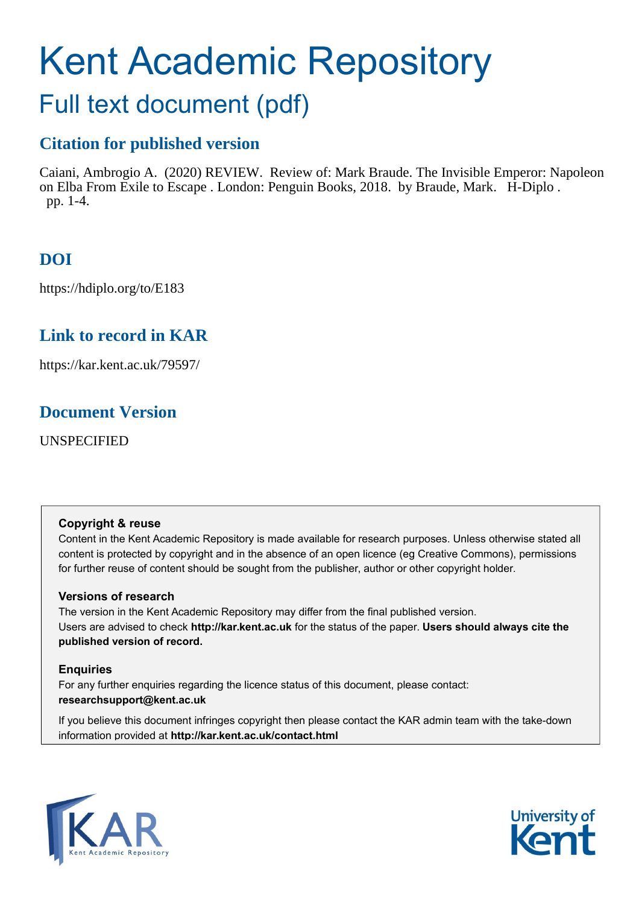# Kent Academic Repository

## Full text document (pdf)

### **Citation for published version**

Caiani, Ambrogio A. (2020) REVIEW. Review of: Mark Braude. The Invisible Emperor: Napoleon on Elba From Exile to Escape . London: Penguin Books, 2018. by Braude, Mark. H-Diplo . pp. 1-4.

## **DOI**

https://hdiplo.org/to/E183

## **Link to record in KAR**

https://kar.kent.ac.uk/79597/

### **Document Version**

UNSPECIFIED

#### **Copyright & reuse**

Content in the Kent Academic Repository is made available for research purposes. Unless otherwise stated all content is protected by copyright and in the absence of an open licence (eg Creative Commons), permissions for further reuse of content should be sought from the publisher, author or other copyright holder.

#### **Versions of research**

The version in the Kent Academic Repository may differ from the final published version. Users are advised to check **http://kar.kent.ac.uk** for the status of the paper. **Users should always cite the published version of record.**

#### **Enquiries**

For any further enquiries regarding the licence status of this document, please contact: **researchsupport@kent.ac.uk**

If you believe this document infringes copyright then please contact the KAR admin team with the take-down information provided at **http://kar.kent.ac.uk/contact.html**



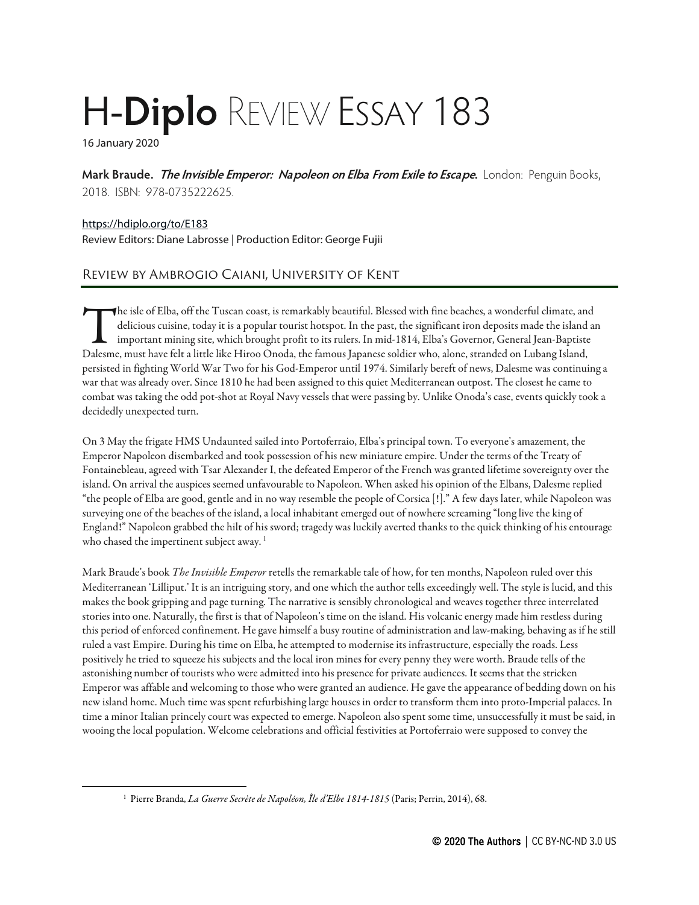## H-**Diplo** REVIEW ESSAY 183

16 January 2020

**Mark Braude. The Invisible Emperor: Napoleon on Elba From Exile to Escape.** London: Penguin Books, 2018. ISBN: 978-0735222625.

<https://hdiplo.org/to/E183> Review Editors: Diane Labrosse | Production Editor: George Fujii

#### Review by Ambrogio Caiani, University of Kent

 $\blacktriangleleft$ he isle of Elba, off the Tuscan coast, is remarkably beautiful. Blessed with fine beaches, a wonderful climate, and delicious cuisine, today it is a popular tourist hotspot. In the past, the significant iron deposits made the island an important mining site, which brought profit to its rulers. In mid-1814, Elba's Governor, General Jean-Baptiste The isle of Elba, off the Tuscan coast, is remarkably beautiful. Blessed with fine beaches, a wonderful climate, an delicious cuisine, today it is a popular tourist hotspot. In the past, the significant iron deposits made persisted in fighting World War Two for his God-Emperor until 1974. Similarly bereft of news, Dalesme was continuing a war that was already over. Since 1810 he had been assigned to this quiet Mediterranean outpost. The closest he came to combat was taking the odd pot-shot at Royal Navy vessels that were passing by. Unlike Onoda's case, events quickly took a decidedly unexpected turn.

On 3 May the frigate HMS Undaunted sailed into Portoferraio, Elba's principal town. To everyone's amazement, the Emperor Napoleon disembarked and took possession of his new miniature empire. Under the terms of the Treaty of Fontainebleau, agreed with Tsar Alexander I, the defeated Emperor of the French was granted lifetime sovereignty over the island. On arrival the auspices seemed unfavourable to Napoleon. When asked his opinion of the Elbans, Dalesme replied "the people of Elba are good, gentle and in no way resemble the people of Corsica[!]." A few days later, while Napoleon was surveying one of the beaches of the island, a local inhabitant emerged out of nowhere screaming "long live the king of England!" Napoleon grabbed the hilt of his sword; tragedy was luckily averted thanks to the quick thinking of his entourage who chased the impertinent subject away.<sup>[1](#page--1-0)</sup>

Mark Braude's book *The Invisible Emperor* retells the remarkable tale of how, for ten months, Napoleon ruled over this Mediterranean 'Lilliput.' It is an intriguing story, and one which the author tells exceedingly well. The style is lucid, and this makes the book gripping and page turning. The narrative is sensibly chronological and weaves together three interrelated stories into one. Naturally, the first is that of Napoleon's time on the island. His volcanic energy made him restless during this period of enforced confinement. He gave himself a busy routine of administration and law-making, behaving as if he still ruled a vast Empire. During his time on Elba, he attempted to modernise its infrastructure, especially the roads. Less positively he tried to squeeze his subjects and the local iron mines for every penny they were worth. Braude tells of the astonishing number of tourists who were admitted into his presence for private audiences. It seems that the stricken Emperor was affable and welcoming to those who were granted an audience. He gave the appearance of bedding down on his new island home. Much time was spent refurbishing large houses in order to transform them into proto-Imperial palaces. In time a minor Italian princely court was expected to emerge. Napoleon also spent some time, unsuccessfully it must be said, in wooing the local population. Welcome celebrations and official festivities at Portoferraio were supposed to convey the

<sup>1</sup> Pierre Branda, *La Guerre Secrète de Napoléon, Île d'Elbe 1814-1815* (Paris; Perrin, 2014), 68.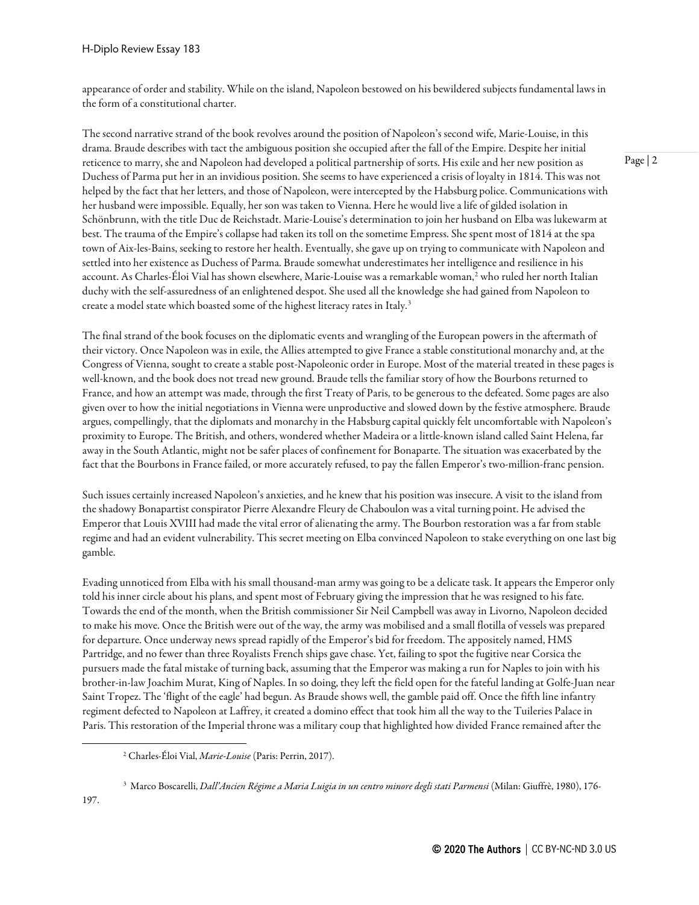appearance of order and stability. While on the island, Napoleon bestowed on his bewildered subjects fundamental laws in the form of aconstitutional charter.

The second narrative strand of the book revolves around the position of Napoleon's second wife, Marie-Louise, in this drama. Braude describes with tact the ambiguous position she occupied after the fall of the Empire. Despite her initial reticence to marry, she and Napoleon had developed a political partnership of sorts. His exile and her new position as Duchess of Parma put her in an invidious position. She seems to have experienced a crisis of loyalty in 1814. This was not helped by the fact that her letters, and those of Napoleon, were intercepted by the Habsburg police. Communications with her husband were impossible. Equally, her son was taken to Vienna. Here he would live a life of gilded isolation in Schönbrunn, with the title Duc de Reichstadt. Marie-Louise's determination to join her husband on Elba was lukewarm at best. The trauma of the Empire's collapse had taken its toll on the sometime Empress. She spent most of 1814 at the spa town of Aix-les-Bains, seeking to restore her health. Eventually, she gave up on trying to communicate with Napoleon and settled into her existence as Duchess of Parma. Braude somewhat underestimates her intelligence and resilience in his account. As Charles-Éloi Vial has shown elsewhere, Marie-Louise was a remarkable woman, [2](#page--1-1) who ruled her north Italian duchy with the self-assuredness of an enlightened despot. She used all the knowledge she had gained from Napoleon to create a model state which boasted some of the highest literacy rates in Italy.[3](#page--1-2)

The final strand of the book focuses on the diplomatic events and wrangling of the European powers in the aftermath of their victory. Once Napoleon was in exile, the Allies attempted to give France a stable constitutional monarchy and, at the Congress of Vienna, sought to create a stable post-Napoleonic order in Europe. Most of the material treated in these pages is well-known,and the book does not tread new ground. Braude tells the familiar story of how the Bourbons returned to France, and how an attempt was made, through the first Treaty of Paris, to be generous to the defeated. Some pages are also given over to how the initial negotiations in Vienna were unproductive and slowed down by the festive atmosphere. Braude argues, compellingly, that the diplomats and monarchy in the Habsburg capital quickly felt uncomfortable with Napoleon's proximity to Europe. The British,and others, wondered whether Madeira or a little-known island called Saint Helena, far away in the South Atlantic, might not be safer places of confinement for Bonaparte. The situation was exacerbated by the fact that the Bourbons in France failed, or more accurately refused, to pay the fallen Emperor's two-million-franc pension.

Such issues certainly increased Napoleon's anxieties, and he knew that his position was insecure. A visit to the island from the shadowy Bonapartist conspirator Pierre Alexandre Fleury de Chaboulon was a vital turning point. He advised the Emperor that Louis XVIII had made the vital error of alienating the army. The Bourbon restoration was a far from stable regime and had an evident vulnerability. This secret meeting on Elba convinced Napoleon to stake everything on one last big gamble.

Evading unnoticed from Elba with his small thousand-man army was going to be a delicate task. It appears the Emperor only told his inner circle about his plans, and spent most of February giving the impression that he was resigned to his fate. Towards the end of the month, when the British commissioner Sir Neil Campbell was away in Livorno, Napoleon decided to make his move. Once the British were out of the way, the army was mobilised and a small flotilla of vessels was prepared for departure. Once underway news spread rapidly of the Emperor's bid for freedom. The appositely named, HMS Partridge, and no fewer than three Royalists French ships gave chase. Yet, failing to spot the fugitive near Corsica the pursuers made the fatal mistake of turning back, assuming that the Emperor was making a run for Naples to join with his brother-in-law Joachim Murat, King of Naples. In so doing, they left the field open for the fateful landing at Golfe-Juan near Saint Tropez. The 'flight of the eagle' had begun. As Braude shows well, the gamble paid off. Once the fifth line infantry regiment defected to Napoleon at Laffrey, it created a domino effect that took him all the way to the Tuileries Palace in Paris. This restoration of the Imperial throne was a military coup that highlighted how divided France remained after the

<sup>2</sup> Charles-Éloi Vial, *Marie-Louise* (Paris: Perrin, 2017).

<sup>3</sup> Marco Boscarelli, *Dall'Ancien Régime a Maria Luigia in un centro minore degli stati Parmensi* (Milan: Giuffrè, 1980), 176-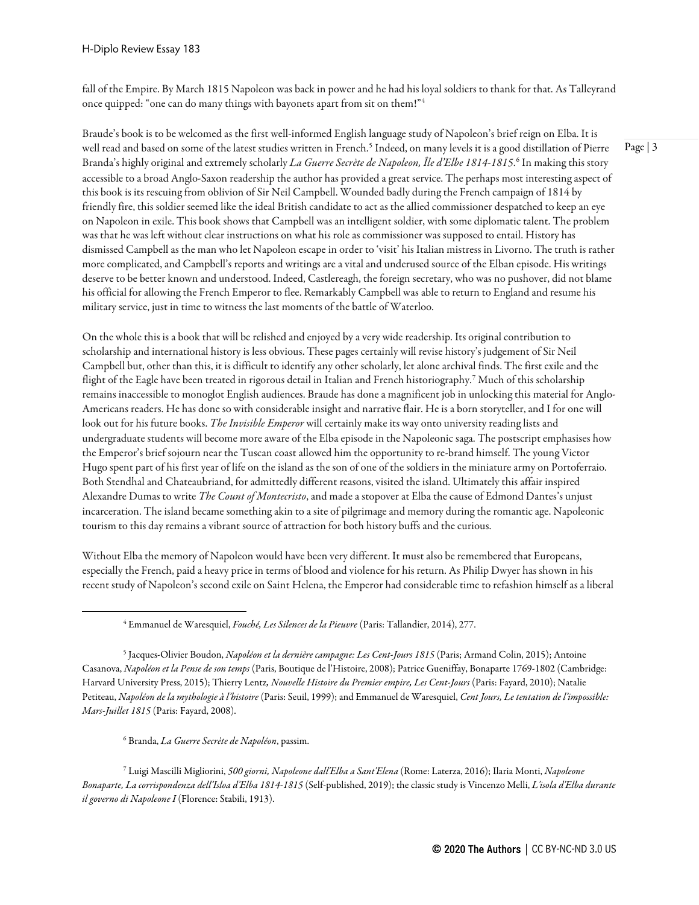fall of the Empire. By March 1815 Napoleon was back in power and he had his loyal soldiers to thank for that. As Talleyrand once quipped: "one can do many things with bayonets apart from sit on them!"[4](#page--1-3)

Braude's book is to be welcomed as the first well-informed English language study of Napoleon's brief reign on Elba. It is well read and based on some of the latest studies written in French.<sup>[5](#page--1-4)</sup> Indeed, on many levels it is a good distillation of Pierre Branda's highly original and extremely scholarly *La Guerre Secrète de Napoleon, Île d'Elbe 1814-1815*. [6](#page--1-5) In making this story accessible to a broad Anglo-Saxon readership the author has provided a great service. The perhaps most interesting aspect of this book is its rescuing from oblivion of Sir Neil Campbell. Wounded badly during the French campaign of 1814 by friendly fire, this soldier seemed like the ideal British candidate to act as the allied commissioner despatched to keep an eye on Napoleon in exile. This book shows that Campbell was an intelligent soldier, with some diplomatic talent. The problem was that he was left without clear instructions on what his role as commissioner was supposed to entail. History has dismissed Campbell as the man who let Napoleon escape in order to 'visit' his Italian mistress in Livorno. The truth is rather more complicated,and Campbell's reports and writings are a vital and underused source of the Elban episode. His writings deserve to be better known and understood. Indeed, Castlereagh, the foreign secretary, who was no pushover, did not blame his official for allowing the French Emperor to flee. Remarkably Campbell was able to return to England and resume his military service, just in time to witness the last moments of the battle of Waterloo.

On the whole this is a book that will be relished and enjoyed by a very wide readership. Its original contribution to scholarship and international history is less obvious. These pages certainly will revise history's judgement of Sir Neil Campbell but, other than this, it is difficult to identify any other scholarly, let alone archival finds. The first exile and the flight of the Eagle have been treated in rigorous detail in Italian and French historiography.[7](#page--1-6) Much of this scholarship remains inaccessible to monoglot English audiences. Braude has done a magnificent job in unlocking this material for Anglo-Americans readers. He has done so with considerable insight and narrative flair. He is a born storyteller, and I for one will look out for his future books. *The Invisible Emperor* will certainly make its way onto university reading lists and undergraduate students will become more aware of the Elba episode in the Napoleonic saga. The postscript emphasises how the Emperor's brief sojourn near the Tuscan coast allowed him the opportunity to re-brand himself. The young Victor Hugo spent part of his first year of life on the island as the son of one of the soldiers in the miniature army on Portoferraio. Both Stendhal and Chateaubriand, for admittedly different reasons, visited the island. Ultimately this affair inspired Alexandre Dumas to write *The Count of Montecristo*,and made a stopover at Elba the cause of Edmond Dantes's unjust incarceration. The island became something akin to a site of pilgrimage and memory during the romantic age. Napoleonic tourism to this day remains a vibrant source of attraction for both history buffs and the curious.

Without Elba the memory of Napoleon would have been very different. It must also be remembered that Europeans, especially the French, paid a heavy price in terms of blood and violence for his return. As Philip Dwyer has shown in his recent study of Napoleon's second exile on Saint Helena, the Emperor had considerable time to refashion himself as a liberal

<sup>6</sup> Branda, *La Guerre Secrète de Napoléon*, passim.

<sup>7</sup> Luigi Mascilli Migliorini, *500 giorni, Napoleone dall'Elba a Sant'Elena* (Rome: Laterza, 2016); Ilaria Monti, *Napoleone Bonaparte, La corrispondenza dell'Isloa d'Elba 1814-1815* (Self-published, 2019); the classic study is Vincenzo Melli, *L'isola d'Elba durante il governo di Napoleone I* (Florence: Stabili, 1913).

Page | 3

<sup>4</sup> Emmanuel de Waresquiel, *Fouché, Les Silences de la Pieuvre* (Paris: Tallandier, 2014), 277.

<sup>5</sup> Jacques-Olivier Boudon, *Napoléon et la dernière campagne: Les Cent-Jours 1815* (Paris; Armand Colin, 2015); Antoine Casanova, *Napoléon et la Pense de son temps* (Paris, Boutique de l'Histoire, 2008); Patrice Gueniffay, Bonaparte 1769-1802 (Cambridge: Harvard University Press, 2015); Thierry Lentz*, Nouvelle Histoire du Premier empire, Les Cent-Jours* (Paris: Fayard, 2010); Natalie Petiteau, *Napoléon de la mythologie à l'histoire* (Paris: Seuil, 1999); and Emmanuel de Waresquiel, *Cent Jours, Le tentation de l'impossible: Mars-Juillet 1815* (Paris: Fayard, 2008).